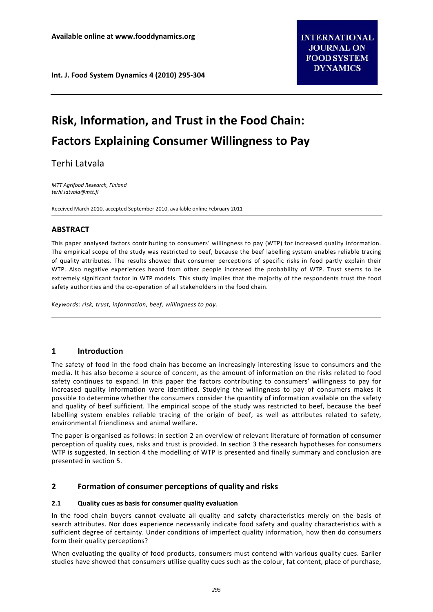# **Risk, Information, and Trust in the Food Chain: Factors Explaining Consumer Willingness to Pay**

Terhi Latvala

*MTT Agrifood Research, Finland terhi.latvala@mtt.fi*

Received March 2010, accepted September 2010, available online February 2011

# **ABSTRACT**

This paper analysed factors contributing to consumers' willingness to pay (WTP) for increased quality information. The empirical scope of the study was restricted to beef, because the beef labelling system enables reliable tracing of quality attributes. The results showed that consumer perceptions of specific risks in food partly explain their WTP. Also negative experiences heard from other people increased the probability of WTP. Trust seems to be extremely significant factor in WTP models. This study implies that the majority of the respondents trust the food safety authorities and the co-operation of all stakeholders in the food chain.

*Keywords: risk, trust, information, beef, willingness to pay.*

# **1 Introduction**

The safety of food in the food chain has become an increasingly interesting issue to consumers and the media. It has also become a source of concern, as the amount of information on the risks related to food safety continues to expand. In this paper the factors contributing to consumers' willingness to pay for increased quality information were identified. Studying the willingness to pay of consumers makes it possible to determine whether the consumers consider the quantity of information available on the safety and quality of beef sufficient. The empirical scope of the study was restricted to beef, because the beef labelling system enables reliable tracing of the origin of beef, as well as attributes related to safety, environmental friendliness and animal welfare.

The paper is organised as follows: in section 2 an overview of relevant literature of formation of consumer perception of quality cues, risks and trust is provided. In section 3 the research hypotheses for consumers WTP is suggested. In section 4 the modelling of WTP is presented and finally summary and conclusion are presented in section 5.

# **2 Formation of consumer perceptions of quality and risks**

# **2.1 Quality cues as basis for consumer quality evaluation**

In the food chain buyers cannot evaluate all quality and safety characteristics merely on the basis of search attributes. Nor does experience necessarily indicate food safety and quality characteristics with a sufficient degree of certainty. Under conditions of imperfect quality information, how then do consumers form their quality perceptions?

When evaluating the quality of food products, consumers must contend with various quality cues. Earlier studies have showed that consumers utilise quality cues such as the colour, fat content, place of purchase,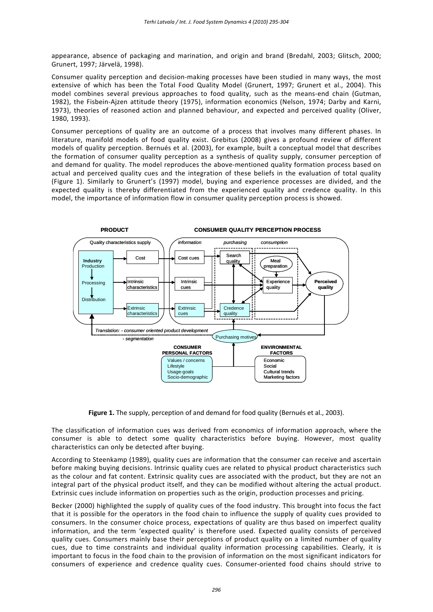appearance, absence of packaging and marination, and origin and brand (Bredahl, 2003; Glitsch, 2000; Grunert, 1997; Järvelä, 1998).

Consumer quality perception and decision‐making processes have been studied in many ways, the most extensive of which has been the Total Food Quality Model (Grunert, 1997; Grunert et al., 2004). This model combines several previous approaches to food quality, such as the means-end chain (Gutman, 1982), the Fisbein‐Ajzen attitude theory (1975), information economics (Nelson, 1974; Darby and Karni, 1973), theories of reasoned action and planned behaviour, and expected and perceived quality (Oliver, 1980, 1993).

Consumer perceptions of quality are an outcome of a process that involves many different phases. In literature, manifold models of food quality exist. Grebitus (2008) gives a profound review of different models of quality perception. Bernués et al. (2003), for example, built a conceptual model that describes the formation of consumer quality perception as a synthesis of quality supply, consumer perception of and demand for quality. The model reproduces the above-mentioned quality formation process based on actual and perceived quality cues and the integration of these beliefs in the evaluation of total quality (Figure 1). Similarly to Grunert's (1997) model, buying and experience processes are divided, and the expected quality is thereby differentiated from the experienced quality and credence quality. In this model, the importance of information flow in consumer quality perception process is showed.



**Figure 1.** The supply, perception of and demand for food quality (Bernués et al., 2003).

The classification of information cues was derived from economics of information approach, where the consumer is able to detect some quality characteristics before buying. However, most quality characteristics can only be detected after buying.

According to Steenkamp (1989), quality cues are information that the consumer can receive and ascertain before making buying decisions. Intrinsic quality cues are related to physical product characteristics such as the colour and fat content. Extrinsic quality cues are associated with the product, but they are not an integral part of the physical product itself, and they can be modified without altering the actual product. Extrinsic cues include information on properties such as the origin, production processes and pricing.

Becker (2000) highlighted the supply of quality cues of the food industry. This brought into focus the fact that it is possible for the operators in the food chain to influence the supply of quality cues provided to consumers. In the consumer choice process, expectations of quality are thus based on imperfect quality information, and the term 'expected quality' is therefore used. Expected quality consists of perceived quality cues. Consumers mainly base their perceptions of product quality on a limited number of quality cues, due to time constraints and individual quality information processing capabilities. Clearly, it is important to focus in the food chain to the provision of information on the most significant indicators for consumers of experience and credence quality cues. Consumer‐oriented food chains should strive to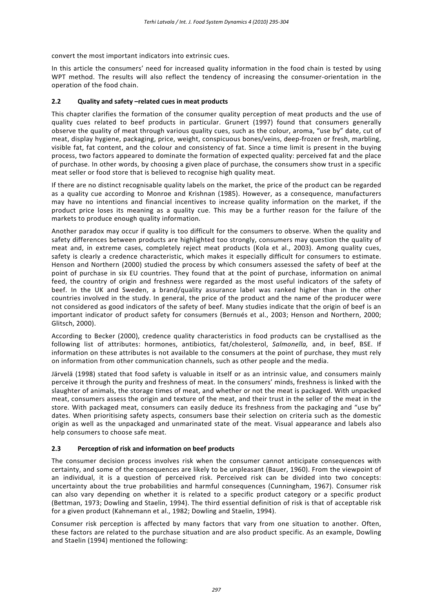convert the most important indicators into extrinsic cues.

In this article the consumers' need for increased quality information in the food chain is tested by using WPT method. The results will also reflect the tendency of increasing the consumer-orientation in the operation of the food chain.

# **2.2 Quality and safety –related cues in meat products**

This chapter clarifies the formation of the consumer quality perception of meat products and the use of quality cues related to beef products in particular. Grunert (1997) found that consumers generally observe the quality of meat through various quality cues, such as the colour, aroma, "use by" date, cut of meat, display hygiene, packaging, price, weight, conspicuous bones/veins, deep‐frozen or fresh, marbling, visible fat, fat content, and the colour and consistency of fat. Since a time limit is present in the buying process, two factors appeared to dominate the formation of expected quality: perceived fat and the place of purchase. In other words, by choosing a given place of purchase, the consumers show trust in a specific meat seller or food store that is believed to recognise high quality meat.

If there are no distinct recognisable quality labels on the market, the price of the product can be regarded as a quality cue according to Monroe and Krishnan (1985). However, as a consequence, manufacturers may have no intentions and financial incentives to increase quality information on the market, if the product price loses its meaning as a quality cue. This may be a further reason for the failure of the markets to produce enough quality information.

Another paradox may occur if quality is too difficult for the consumers to observe. When the quality and safety differences between products are highlighted too strongly, consumers may question the quality of meat and, in extreme cases, completely reject meat products (Kola et al., 2003). Among quality cues, safety is clearly a credence characteristic, which makes it especially difficult for consumers to estimate. Henson and Northern (2000) studied the process by which consumers assessed the safety of beef at the point of purchase in six EU countries. They found that at the point of purchase, information on animal feed, the country of origin and freshness were regarded as the most useful indicators of the safety of beef. In the UK and Sweden, a brand/quality assurance label was ranked higher than in the other countries involved in the study. In general, the price of the product and the name of the producer were not considered as good indicators of the safety of beef. Many studies indicate that the origin of beef is an important indicator of product safety for consumers (Bernués et al., 2003; Henson and Northern, 2000; Glitsch, 2000).

According to Becker (2000), credence quality characteristics in food products can be crystallised as the following list of attributes: hormones, antibiotics, fat/cholesterol, *Salmonella,* and, in beef, BSE. If information on these attributes is not available to the consumers at the point of purchase, they must rely on information from other communication channels, such as other people and the media.

Järvelä (1998) stated that food safety is valuable in itself or as an intrinsic value, and consumers mainly perceive it through the purity and freshness of meat. In the consumers' minds, freshness is linked with the slaughter of animals, the storage times of meat, and whether or not the meat is packaged. With unpacked meat, consumers assess the origin and texture of the meat, and their trust in the seller of the meat in the store. With packaged meat, consumers can easily deduce its freshness from the packaging and "use by" dates. When prioritising safety aspects, consumers base their selection on criteria such as the domestic origin as well as the unpackaged and unmarinated state of the meat. Visual appearance and labels also help consumers to choose safe meat.

# **2.3 Perception of risk and information on beef products**

The consumer decision process involves risk when the consumer cannot anticipate consequences with certainty, and some of the consequences are likely to be unpleasant (Bauer, 1960). From the viewpoint of an individual, it is a question of perceived risk. Perceived risk can be divided into two concepts: uncertainty about the true probabilities and harmful consequences (Cunningham, 1967). Consumer risk can also vary depending on whether it is related to a specific product category or a specific product (Bettman, 1973; Dowling and Staelin, 1994). The third essential definition of risk is that of acceptable risk for a given product (Kahnemann et al., 1982; Dowling and Staelin, 1994).

Consumer risk perception is affected by many factors that vary from one situation to another. Often, these factors are related to the purchase situation and are also product specific. As an example, Dowling and Staelin (1994) mentioned the following: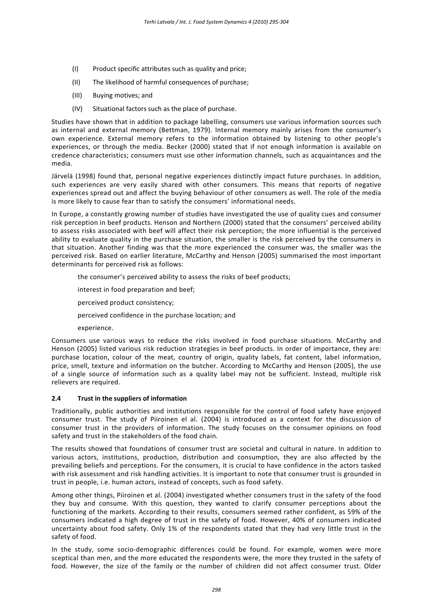- (I) Product specific attributes such as quality and price;
- (II) The likelihood of harmful consequences of purchase;
- (III) Buying motives; and
- (IV) Situational factors such as the place of purchase.

Studies have shown that in addition to package labelling, consumers use various information sources such as internal and external memory (Bettman, 1979). Internal memory mainly arises from the consumer's own experience. External memory refers to the information obtained by listening to other people's experiences, or through the media. Becker (2000) stated that if not enough information is available on credence characteristics; consumers must use other information channels, such as acquaintances and the media.

Järvelä (1998) found that, personal negative experiences distinctly impact future purchases. In addition, such experiences are very easily shared with other consumers. This means that reports of negative experiences spread out and affect the buying behaviour of other consumers as well. The role of the media is more likely to cause fear than to satisfy the consumers' informational needs.

In Europe, a constantly growing number of studies have investigated the use of quality cues and consumer risk perception in beef products. Henson and Northern (2000) stated that the consumers' perceived ability to assess risks associated with beef will affect their risk perception; the more influential is the perceived ability to evaluate quality in the purchase situation, the smaller is the risk perceived by the consumers in that situation. Another finding was that the more experienced the consumer was, the smaller was the perceived risk. Based on earlier literature, McCarthy and Henson (2005) summarised the most important determinants for perceived risk as follows:

- the consumer's perceived ability to assess the risks of beef products;
- interest in food preparation and beef;
- perceived product consistency;
- perceived confidence in the purchase location; and
- experience.

Consumers use various ways to reduce the risks involved in food purchase situations. McCarthy and Henson (2005) listed various risk reduction strategies in beef products. In order of importance, they are: purchase location, colour of the meat, country of origin, quality labels, fat content, label information, price, smell, texture and information on the butcher. According to McCarthy and Henson (2005), the use of a single source of information such as a quality label may not be sufficient. Instead, multiple risk relievers are required.

#### **2.4 Trust in the suppliers of information**

Traditionally, public authorities and institutions responsible for the control of food safety have enjoyed consumer trust. The study of Piiroinen el al. (2004) is introduced as a context for the discussion of consumer trust in the providers of information. The study focuses on the consumer opinions on food safety and trust in the stakeholders of the food chain.

The results showed that foundations of consumer trust are societal and cultural in nature. In addition to various actors, institutions, production, distribution and consumption, they are also affected by the prevailing beliefs and perceptions. For the consumers, it is crucial to have confidence in the actors tasked with risk assessment and risk handling activities. It is important to note that consumer trust is grounded in trust in people, i.e. human actors, instead of concepts, such as food safety.

Among other things, Piiroinen et al. (2004) investigated whether consumers trust in the safety of the food they buy and consume. With this question, they wanted to clarify consumer perceptions about the functioning of the markets. According to their results, consumers seemed rather confident, as 59% of the consumers indicated a high degree of trust in the safety of food. However, 40% of consumers indicated uncertainty about food safety. Only 1% of the respondents stated that they had very little trust in the safety of food.

In the study, some socio-demographic differences could be found. For example, women were more sceptical than men, and the more educated the respondents were, the more they trusted in the safety of food. However, the size of the family or the number of children did not affect consumer trust. Older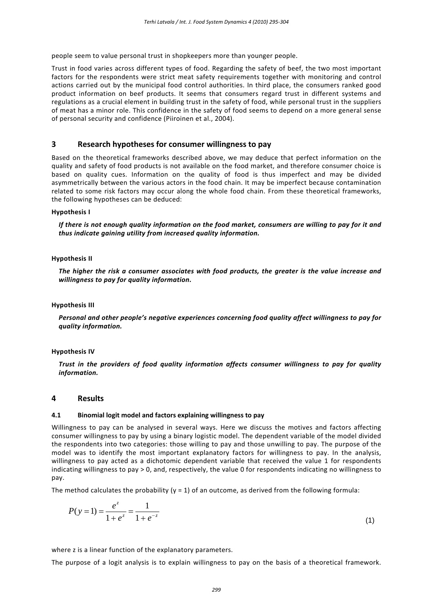people seem to value personal trust in shopkeepers more than younger people.

Trust in food varies across different types of food. Regarding the safety of beef, the two most important factors for the respondents were strict meat safety requirements together with monitoring and control actions carried out by the municipal food control authorities. In third place, the consumers ranked good product information on beef products. It seems that consumers regard trust in different systems and regulations as a crucial element in building trust in the safety of food, while personal trust in the suppliers of meat has a minor role. This confidence in the safety of food seems to depend on a more general sense of personal security and confidence (Piiroinen et al., 2004).

## **3 Research hypotheses for consumer willingness to pay**

Based on the theoretical frameworks described above, we may deduce that perfect information on the quality and safety of food products is not available on the food market, and therefore consumer choice is based on quality cues. Information on the quality of food is thus imperfect and may be divided asymmetrically between the various actors in the food chain. It may be imperfect because contamination related to some risk factors may occur along the whole food chain. From these theoretical frameworks, the following hypotheses can be deduced:

#### **Hypothesis I**

If there is not enough quality information on the food market, consumers are willing to pay for it and *thus indicate gaining utility from increased quality information.*

#### **Hypothesis II**

*The higher the risk a consumer associates with food products, the greater is the value increase and willingness to pay for quality information.*

#### **Hypothesis III**

*Personal and other people's negative experiences concerning food quality affect willingness to pay for quality information.*

#### **Hypothesis IV**

*Trust in the providers of food quality information affects consumer willingness to pay for quality information.*

#### **4 Results**

#### **4.1 Binomial logit model and factors explaining willingness to pay**

Willingness to pay can be analysed in several ways. Here we discuss the motives and factors affecting consumer willingness to pay by using a binary logistic model. The dependent variable of the model divided the respondents into two categories: those willing to pay and those unwilling to pay. The purpose of the model was to identify the most important explanatory factors for willingness to pay. In the analysis, willingness to pay acted as a dichotomic dependent variable that received the value 1 for respondents indicating willingness to pay > 0, and, respectively, the value 0 for respondents indicating no willingness to pay.

The method calculates the probability ( $y = 1$ ) of an outcome, as derived from the following formula:

$$
P(y=1) = \frac{e^z}{1 + e^z} = \frac{1}{1 + e^{-z}}
$$
\n(1)

where z is a linear function of the explanatory parameters.

The purpose of a logit analysis is to explain willingness to pay on the basis of a theoretical framework.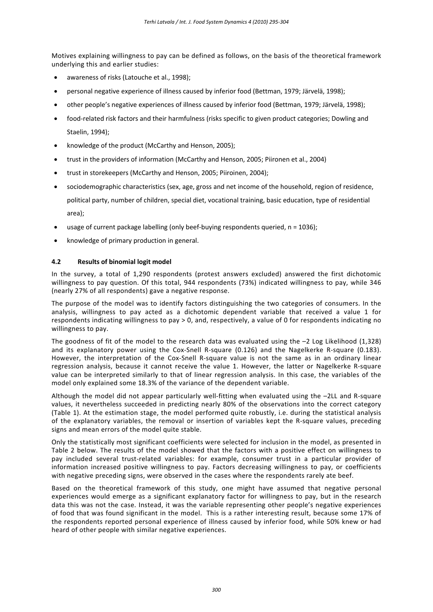Motives explaining willingness to pay can be defined as follows, on the basis of the theoretical framework underlying this and earlier studies:

- awareness of risks (Latouche et al., 1998);
- personal negative experience of illness caused by inferior food (Bettman, 1979; Järvelä, 1998);
- other people's negative experiences of illness caused by inferior food (Bettman, 1979; Järvelä, 1998);
- food‐related risk factors and their harmfulness (risks specific to given product categories; Dowling and Staelin, 1994);
- knowledge of the product (McCarthy and Henson, 2005);
- trust in the providers of information (McCarthy and Henson, 2005; Piironen et al., 2004)
- trust in storekeepers (McCarthy and Henson, 2005; Piiroinen, 2004);
- sociodemographic characteristics (sex, age, gross and net income of the household, region of residence, political party, number of children, special diet, vocational training, basic education, type of residential area);
- usage of current package labelling (only beef‐buying respondents queried, n = 1036);
- knowledge of primary production in general.

# **4.2 Results of binomial logit model**

In the survey, a total of 1,290 respondents (protest answers excluded) answered the first dichotomic willingness to pay question. Of this total, 944 respondents (73%) indicated willingness to pay, while 346 (nearly 27% of all respondents) gave a negative response.

The purpose of the model was to identify factors distinguishing the two categories of consumers. In the analysis, willingness to pay acted as a dichotomic dependent variable that received a value 1 for respondents indicating willingness to pay > 0, and, respectively, a value of 0 for respondents indicating no willingness to pay.

The goodness of fit of the model to the research data was evaluated using the  $-2$  Log Likelihood (1,328) and its explanatory power using the Cox-Snell R-square (0.126) and the Nagelkerke R-square (0.183). However, the interpretation of the Cox-Snell R-square value is not the same as in an ordinary linear regression analysis, because it cannot receive the value 1. However, the latter or Nagelkerke R‐square value can be interpreted similarly to that of linear regression analysis. In this case, the variables of the model only explained some 18.3% of the variance of the dependent variable.

Although the model did not appear particularly well-fitting when evaluated using the –2LL and R-square values, it nevertheless succeeded in predicting nearly 80% of the observations into the correct category (Table 1). At the estimation stage, the model performed quite robustly, i.e. during the statistical analysis of the explanatory variables, the removal or insertion of variables kept the R‐square values, preceding signs and mean errors of the model quite stable.

Only the statistically most significant coefficients were selected for inclusion in the model, as presented in Table 2 below. The results of the model showed that the factors with a positive effect on willingness to pay included several trust-related variables: for example, consumer trust in a particular provider of information increased positive willingness to pay. Factors decreasing willingness to pay, or coefficients with negative preceding signs, were observed in the cases where the respondents rarely ate beef.

Based on the theoretical framework of this study, one might have assumed that negative personal experiences would emerge as a significant explanatory factor for willingness to pay, but in the research data this was not the case. Instead, it was the variable representing other people's negative experiences of food that was found significant in the model. This is a rather interesting result, because some 17% of the respondents reported personal experience of illness caused by inferior food, while 50% knew or had heard of other people with similar negative experiences.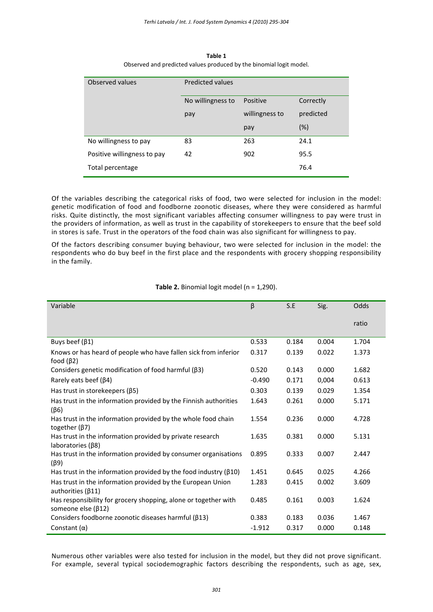| Observed values             | <b>Predicted values</b> |                |           |  |  |
|-----------------------------|-------------------------|----------------|-----------|--|--|
|                             | No willingness to       | Positive       | Correctly |  |  |
|                             | pay                     | willingness to | predicted |  |  |
|                             |                         | pay            | (%)       |  |  |
| No willingness to pay       | 83                      | 263            | 24.1      |  |  |
| Positive willingness to pay | 42                      | 902            | 95.5      |  |  |
| Total percentage            |                         |                | 76.4      |  |  |

**Table 1** Observed and predicted values produced by the binomial logit model.

Of the variables describing the categorical risks of food, two were selected for inclusion in the model: genetic modification of food and foodborne zoonotic diseases, where they were considered as harmful risks. Quite distinctly, the most significant variables affecting consumer willingness to pay were trust in the providers of information, as well as trust in the capability of storekeepers to ensure that the beef sold in stores is safe. Trust in the operators of the food chain was also significant for willingness to pay.

Of the factors describing consumer buying behaviour, two were selected for inclusion in the model: the respondents who do buy beef in the first place and the respondents with grocery shopping responsibility in the family.

| Variable                                                                                | $\beta$  | S.E   | Sig.  | Odds  |
|-----------------------------------------------------------------------------------------|----------|-------|-------|-------|
|                                                                                         |          |       |       | ratio |
| Buys beef $(\beta 1)$                                                                   | 0.533    | 0.184 | 0.004 | 1.704 |
| Knows or has heard of people who have fallen sick from inferior<br>food $(\beta2)$      | 0.317    | 0.139 | 0.022 | 1.373 |
| Considers genetic modification of food harmful $(\beta 3)$                              | 0.520    | 0.143 | 0.000 | 1.682 |
| Rarely eats beef ( $\beta$ 4)                                                           | $-0.490$ | 0.171 | 0,004 | 0.613 |
| Has trust in storekeepers ( $\beta$ 5)                                                  | 0.303    | 0.139 | 0.029 | 1.354 |
| Has trust in the information provided by the Finnish authorities<br>$(\beta 6)$         | 1.643    | 0.261 | 0.000 | 5.171 |
| Has trust in the information provided by the whole food chain<br>together $(\beta 7)$   | 1.554    | 0.236 | 0.000 | 4.728 |
| Has trust in the information provided by private research<br>laboratories $(\beta 8)$   | 1.635    | 0.381 | 0.000 | 5.131 |
| Has trust in the information provided by consumer organisations<br>$(\beta 9)$          | 0.895    | 0.333 | 0.007 | 2.447 |
| Has trust in the information provided by the food industry ( $\beta$ 10)                | 1.451    | 0.645 | 0.025 | 4.266 |
| Has trust in the information provided by the European Union<br>authorities $(\beta 11)$ | 1.283    | 0.415 | 0.002 | 3.609 |
| Has responsibility for grocery shopping, alone or together with<br>someone else (β12)   | 0.485    | 0.161 | 0.003 | 1.624 |
| Considers foodborne zoonotic diseases harmful ( $\beta$ 13)                             | 0.383    | 0.183 | 0.036 | 1.467 |
| Constant $(\alpha)$                                                                     | $-1.912$ | 0.317 | 0.000 | 0.148 |

# **Table 2.** Binomial logit model (n = 1,290).

Numerous other variables were also tested for inclusion in the model, but they did not prove significant. For example, several typical sociodemographic factors describing the respondents, such as age, sex,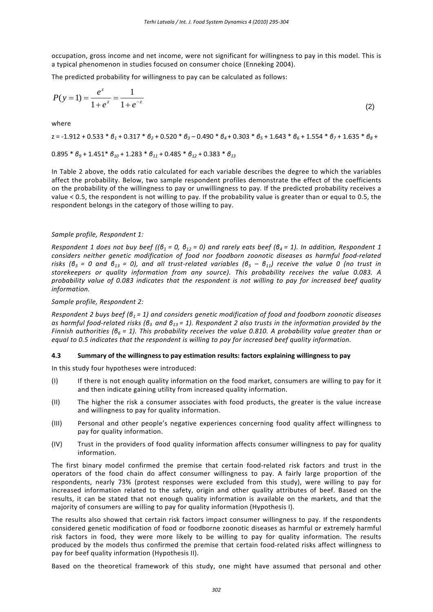occupation, gross income and net income, were not significant for willingness to pay in this model. This is a typical phenomenon in studies focused on consumer choice (Enneking 2004).

The predicted probability for willingness to pay can be calculated as follows:

$$
P(y=1) = \frac{e^z}{1+e^z} = \frac{1}{1+e^{-z}}
$$
 (2)

where

 $z = -1.912 + 0.533 * \theta_1 + 0.317 * \theta_2 + 0.520 * \theta_3 - 0.490 * \theta_4 + 0.303 * \theta_5 + 1.643 * \theta_6 + 1.554 * \theta_7 + 1.635 * \theta_8 +$ 

$$
0.895 * \theta_9 + 1.451 * \theta_{10} + 1.283 * \theta_{11} + 0.485 * \theta_{12} + 0.383 * \theta_{13}
$$

In Table 2 above, the odds ratio calculated for each variable describes the degree to which the variables affect the probability. Below, two sample respondent profiles demonstrate the effect of the coefficients on the probability of the willingness to pay or unwillingness to pay. If the predicted probability receives a value < 0.5, the respondent is not willing to pay. If the probability value is greater than or equal to 0.5, the respondent belongs in the category of those willing to pay.

## *Sample profile, Respondent 1:*

Respondent 1 does not buy beef (( $\theta_1$  = 0,  $\theta_{12}$  = 0) and rarely eats beef ( $\theta_4$  = 1). In addition, Respondent 1 *considers neither genetic modification of food nor foodborn zoonotic diseases as harmful food‐related* risks ( $\theta_3 = 0$  and  $\theta_{13} = 0$ ), and all trust-related variables ( $\theta_5 - \theta_{11}$ ) receive the value 0 (no trust in *storekeepers or quality information from any source). This probability receives the value 0.083. A probability value of 0.083 indicates that the respondent is not willing to pay for increased beef quality information.*

#### *Sample profile, Respondent 2:*

Respondent 2 buys beef  $(\beta_1 = 1)$  and considers genetic modification of food and foodborn zoonotic diseases as harmful food-related risks ( $\beta_3$  and  $\beta_{13}$  = 1). Respondent 2 also trusts in the information provided by the Finnish authorities ( $\beta_6 = 1$ ). This probability receives the value 0.810. A probability value greater than or *equal to 0.5 indicates that the respondent is willing to pay for increased beef quality information.*

### **4.3 Summary of the willingness to pay estimation results: factors explaining willingness to pay**

In this study four hypotheses were introduced:

- (I) If there is not enough quality information on the food market, consumers are willing to pay for it and then indicate gaining utility from increased quality information.
- (II) The higher the risk a consumer associates with food products, the greater is the value increase and willingness to pay for quality information.
- (III) Personal and other people's negative experiences concerning food quality affect willingness to pay for quality information.
- (IV) Trust in the providers of food quality information affects consumer willingness to pay for quality information.

The first binary model confirmed the premise that certain food-related risk factors and trust in the operators of the food chain do affect consumer willingness to pay. A fairly large proportion of the respondents, nearly 73% (protest responses were excluded from this study), were willing to pay for increased information related to the safety, origin and other quality attributes of beef. Based on the results, it can be stated that not enough quality information is available on the markets, and that the majority of consumers are willing to pay for quality information (Hypothesis I).

The results also showed that certain risk factors impact consumer willingness to pay. If the respondents considered genetic modification of food or foodborne zoonotic diseases as harmful or extremely harmful risk factors in food, they were more likely to be willing to pay for quality information. The results produced by the models thus confirmed the premise that certain food‐related risks affect willingness to pay for beef quality information (Hypothesis II).

Based on the theoretical framework of this study, one might have assumed that personal and other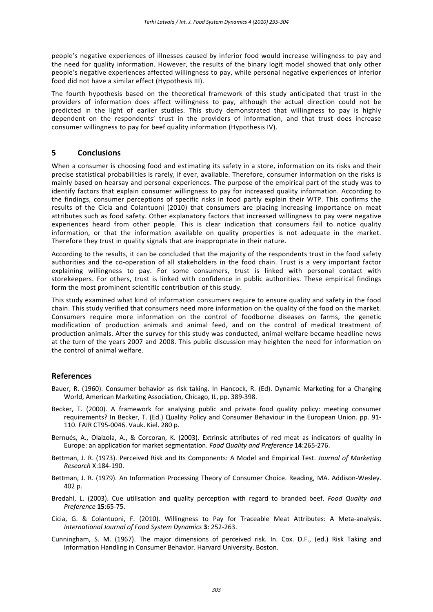people's negative experiences of illnesses caused by inferior food would increase willingness to pay and the need for quality information. However, the results of the binary logit model showed that only other people's negative experiences affected willingness to pay, while personal negative experiences of inferior food did not have a similar effect (Hypothesis III).

The fourth hypothesis based on the theoretical framework of this study anticipated that trust in the providers of information does affect willingness to pay, although the actual direction could not be predicted in the light of earlier studies. This study demonstrated that willingness to pay is highly dependent on the respondents' trust in the providers of information, and that trust does increase consumer willingness to pay for beef quality information (Hypothesis IV).

# **5 Conclusions**

When a consumer is choosing food and estimating its safety in a store, information on its risks and their precise statistical probabilities is rarely, if ever, available. Therefore, consumer information on the risks is mainly based on hearsay and personal experiences. The purpose of the empirical part of the study was to identify factors that explain consumer willingness to pay for increased quality information. According to the findings, consumer perceptions of specific risks in food partly explain their WTP. This confirms the results of the Cicia and Colantuoni (2010) that consumers are placing increasing importance on meat attributes such as food safety. Other explanatory factors that increased willingness to pay were negative experiences heard from other people. This is clear indication that consumers fail to notice quality information, or that the information available on quality properties is not adequate in the market. Therefore they trust in quality signals that are inappropriate in their nature.

According to the results, it can be concluded that the majority of the respondents trust in the food safety authorities and the co‐operation of all stakeholders in the food chain. Trust is a very important factor explaining willingness to pay. For some consumers, trust is linked with personal contact with storekeepers. For others, trust is linked with confidence in public authorities. These empirical findings form the most prominent scientific contribution of this study.

This study examined what kind of information consumers require to ensure quality and safety in the food chain. This study verified that consumers need more information on the quality of the food on the market. Consumers require more information on the control of foodborne diseases on farms, the genetic modification of production animals and animal feed, and on the control of medical treatment of production animals. After the survey for this study was conducted, animal welfare became headline news at the turn of the years 2007 and 2008. This public discussion may heighten the need for information on the control of animal welfare.

# **References**

- Bauer, R. (1960). Consumer behavior as risk taking. In Hancock, R. (Ed). Dynamic Marketing for a Changing World, American Marketing Association, Chicago, IL, pp. 389‐398.
- Becker, T. (2000). A framework for analysing public and private food quality policy: meeting consumer requirements? In Becker, T. (Ed.) Quality Policy and Consumer Behaviour in the European Union. pp. 91‐ 110. FAIR CT95‐0046. Vauk. Kiel. 280 p.
- Bernués, A., Olaizola, A., & Corcoran, K. (2003). Extrinsic attributes of red meat as indicators of quality in Europe: an application for market segmentation. *Food Quality and Preference* **14**:265‐276.
- Bettman, J. R. (1973). Perceived Risk and Its Components: A Model and Empirical Test. *Journal of Marketing Research* X:184‐190.
- Bettman, J. R. (1979). An Information Processing Theory of Consumer Choice. Reading, MA. Addison‐Wesley. 402 p.
- Bredahl, L. (2003). Cue utilisation and quality perception with regard to branded beef. *Food Quality and Preference* **15**:65‐75.
- Cicia, G. & Colantuoni, F. (2010). Willingness to Pay for Traceable Meat Attributes: A Meta‐analysis. *International Journal of Food System Dynamics* **3**: 252‐263.
- Cunningham, S. M. (1967). The major dimensions of perceived risk. In. Cox. D.F., (ed.) Risk Taking and Information Handling in Consumer Behavior. Harvard University. Boston.